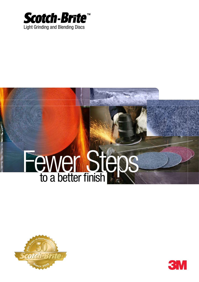

# Fewer Steps



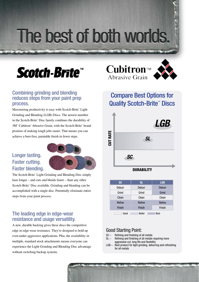## The best of both worlds.

### *Scotch-Brite™*

#### Combining grinding and blending reduces steps from your paint prep process.

Maximising productivity is easy with Scotch-Brite™ Light Grinding and Blending (LGB) Discs. The newest member in the Scotch-Brite™ Disc family combines the durability of 3M<sup>™</sup> Cubitron<sup>™</sup> Abrasive Grain, with the Scotch-Brite<sup>™</sup> brand promise of making tough jobs easier. That means you can achieve a burr-free, paintable finish in fewer steps.

#### Longer lasting. Faster cutting. Faster blending.



The Scotch-Brite™ Light Grinding and Blending Disc simply lasts longer – and cuts and blends faster – than any other Scotch-Brite<sup>™</sup> Disc available. Grinding and blending can be accomplished with a single disc. Potentially eliminate entire steps from your paint process.

#### The leading edge in edge-wear resistance and usage versatility.

A new, durable backing gives these discs the competitive edge in edge-wear resistance. They're designed to hold up even under aggressive applications. Plus, the availability in multiple, standard stock attachments means everyone can experience the Light Grinding and Blending Disc advantage without switching backup systems.





#### Compare Best Options for Quality Scotch-Brite<sup>™</sup> Discs



| <b>SC</b>     | <b>SL</b>     | <b>LGB</b>    |
|---------------|---------------|---------------|
| <b>Deburr</b> | <b>Deburr</b> | <b>Deburr</b> |
| Grind         | Grind         | Grind         |
| Clean         | Clean         | Clean         |
| Refine        | Refine        | Refine        |
| <b>Finish</b> | Finish        | Finish        |
| Good          | <b>Better</b> | <b>Best</b>   |

#### Good Starting Point:

- SC Refining and finishing of all metals
- SL Refining and finishing of all metals requiring more aggressive cut, long life and flexibility
- LGB Best product for light grinding, deburring and refinishing for all metals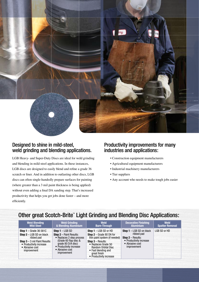

#### Designed to shine in mild-steel. weld grinding and blending applications.

LGB Heavy- and Super-Duty Discs are ideal for weld grinding and blending in mild-steel applications. In these instances, LGB discs are designed to easily blend and refine a grade 36 scratch or finer. And in addition to outlasting other discs, LGB discs can often single-handedly prepare surfaces for painting (where greater than a 3 mil paint thickness is being applied) without even adding a final DA sanding step. That's increased productivity that helps you get jobs done faster – and more efficiently.

#### Productivity improvements for many industries and applications:

- Construction equipment manufacturers
- Agricultural equipment manufacturers
- Industrial machinery manufacturers
- Tier suppliers
- Any account who needs to make tough jobs easier

| <b>Weld Blending</b>                                                                                                                                                                           | <b>Weld Grinding</b>                                                                                                                                                                                | <b>Weld</b>                                                                                                                                                                                                                                    | <b>Decorative Finishing</b>                                                                                                              | <b>Weld</b>            |
|------------------------------------------------------------------------------------------------------------------------------------------------------------------------------------------------|-----------------------------------------------------------------------------------------------------------------------------------------------------------------------------------------------------|------------------------------------------------------------------------------------------------------------------------------------------------------------------------------------------------------------------------------------------------|------------------------------------------------------------------------------------------------------------------------------------------|------------------------|
| <b>Mild Steel</b>                                                                                                                                                                              | & Blending Aluminium                                                                                                                                                                                | <b>Burn-Through</b>                                                                                                                                                                                                                            | <b>Aluminium</b>                                                                                                                         | <b>Spatter Removal</b> |
| <b>Step 1</b> – Grade 36 581C<br><b>Step 2</b> $-$ LGB SD on black<br>ribbed pad<br><b>Step 3</b> $-$ 3 mil Paint Results:<br>• Productivity increase<br>• Abrasive cost<br><i>improvement</i> | <b>Step 1</b> $-$ LGB SD<br><b>Step 2</b> - Paint Results:<br>• Replaces 2 step process<br>(Grade 60 flap disc &<br>grade 80 D/A disc)<br>• Productivity increase<br>• Abrasive cost<br>improvement | <b>Step 1</b> $-$ LGB SD or HD<br>Step 2 - Grade 80 DA for<br>thin paint system (if needed)<br><b>Step 3 - Results:</b><br>• Replaces Grade 50<br><b>Random Orbital Disc</b><br>• Fast blending and<br>great finish<br>• Productivity increase | <b>Step 1</b> $-$ LGB SD on black<br>ribbed pad<br><b>Step 2 - Results:</b><br>• Productivity increase<br>• Abrasive cost<br>improvement | LGB SD or HD           |

#### Other great Scotch-Brite™ Light Grinding and Blending Disc Applications: